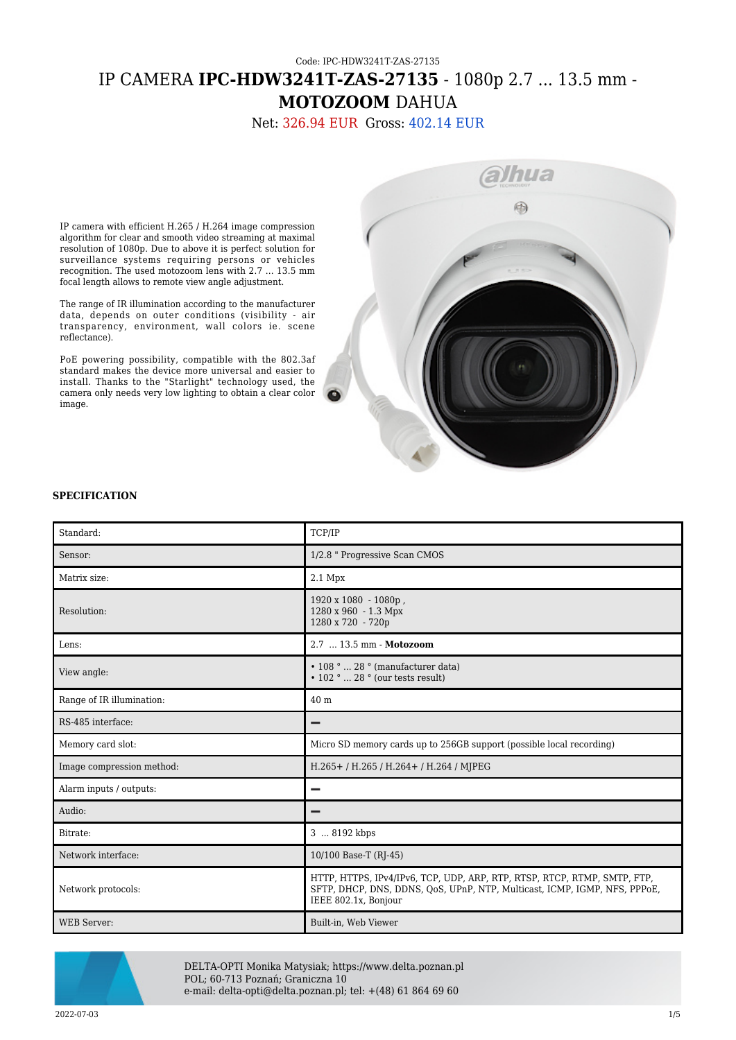# Code: IPC-HDW3241T-ZAS-27135 IP CAMERA **IPC-HDW3241T-ZAS-27135** - 1080p 2.7 ... 13.5 mm - **MOTOZOOM** DAHUA

Net: 326.94 EUR Gross: 402.14 EUR

IP camera with efficient H.265 / H.264 image compression algorithm for clear and smooth video streaming at maximal resolution of 1080p. Due to above it is perfect solution for surveillance systems requiring persons or vehicles recognition. The used motozoom lens with 2.7 ... 13.5 mm focal length allows to remote view angle adjustment.

The range of IR illumination according to the manufacturer data, depends on outer conditions (visibility - air transparency, environment, wall colors ie. scene reflectance).

PoE powering possibility, compatible with the 802.3af standard makes the device more universal and easier to install. Thanks to the "Starlight" technology used, the camera only needs very low lighting to obtain a clear color image.



#### **SPECIFICATION**

| Standard:                 | TCP/IP                                                                                                                                                                        |
|---------------------------|-------------------------------------------------------------------------------------------------------------------------------------------------------------------------------|
| Sensor:                   | 1/2.8 " Progressive Scan CMOS                                                                                                                                                 |
| Matrix size:              | $2.1$ Mpx                                                                                                                                                                     |
| Resolution:               | 1920 x 1080 - 1080p,<br>1280 x 960 - 1.3 Mpx<br>1280 x 720 - 720p                                                                                                             |
| Lens:                     | 2.7  13.5 mm - Motozoom                                                                                                                                                       |
| View angle:               | $\cdot$ 108 °  28 ° (manufacturer data)<br>$\cdot$ 102 °  28 ° (our tests result)                                                                                             |
| Range of IR illumination: | 40 m                                                                                                                                                                          |
| RS-485 interface:         |                                                                                                                                                                               |
| Memory card slot:         | Micro SD memory cards up to 256GB support (possible local recording)                                                                                                          |
| Image compression method: | H.265+/H.265/H.264+/H.264/MJPEG                                                                                                                                               |
| Alarm inputs / outputs:   |                                                                                                                                                                               |
| Audio:                    |                                                                                                                                                                               |
| Bitrate:                  | 3  8192 kbps                                                                                                                                                                  |
| Network interface:        | 10/100 Base-T (RJ-45)                                                                                                                                                         |
| Network protocols:        | HTTP, HTTPS, IPv4/IPv6, TCP, UDP, ARP, RTP, RTSP, RTCP, RTMP, SMTP, FTP,<br>SFTP, DHCP, DNS, DDNS, QoS, UPnP, NTP, Multicast, ICMP, IGMP, NFS, PPPoE,<br>IEEE 802.1x, Bonjour |
| <b>WEB</b> Server:        | Built-in, Web Viewer                                                                                                                                                          |



DELTA-OPTI Monika Matysiak; https://www.delta.poznan.pl POL; 60-713 Poznań; Graniczna 10 e-mail: delta-opti@delta.poznan.pl; tel: +(48) 61 864 69 60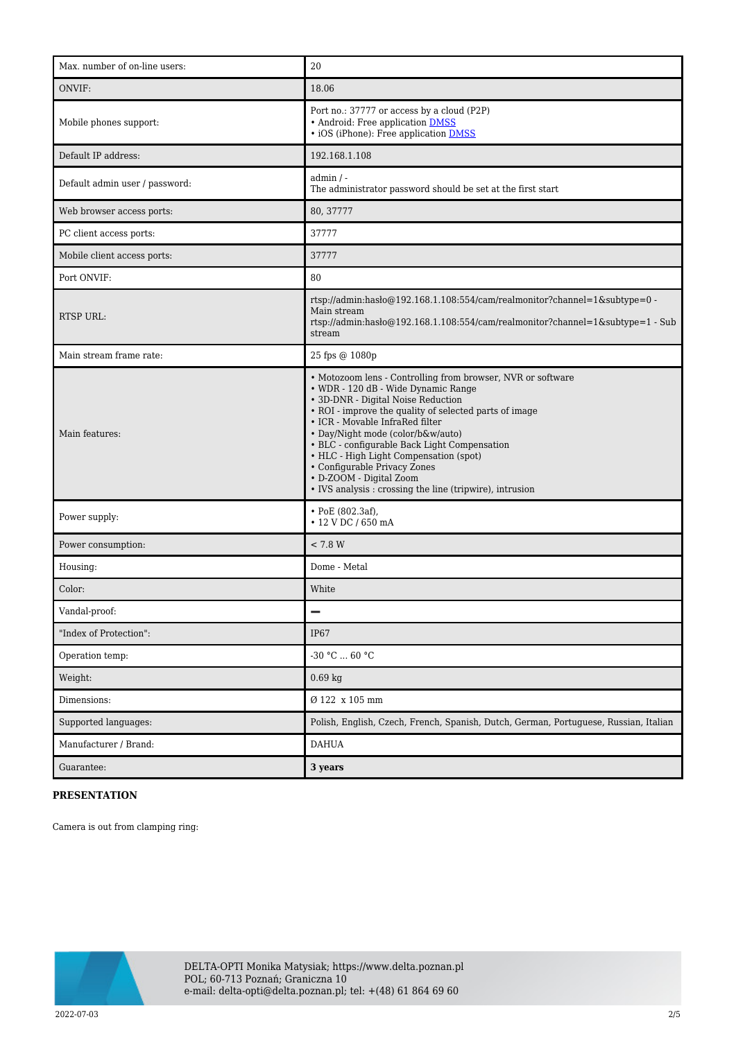| Max. number of on-line users:  | 20                                                                                                                                                                                                                                                                                                                                                                                                                                                                                          |
|--------------------------------|---------------------------------------------------------------------------------------------------------------------------------------------------------------------------------------------------------------------------------------------------------------------------------------------------------------------------------------------------------------------------------------------------------------------------------------------------------------------------------------------|
| ONVIF:                         | 18.06                                                                                                                                                                                                                                                                                                                                                                                                                                                                                       |
| Mobile phones support:         | Port no.: 37777 or access by a cloud (P2P)<br>• Android: Free application DMSS<br>· iOS (iPhone): Free application DMSS                                                                                                                                                                                                                                                                                                                                                                     |
| Default IP address:            | 192.168.1.108                                                                                                                                                                                                                                                                                                                                                                                                                                                                               |
| Default admin user / password: | $admin / -$<br>The administrator password should be set at the first start                                                                                                                                                                                                                                                                                                                                                                                                                  |
| Web browser access ports:      | 80, 37777                                                                                                                                                                                                                                                                                                                                                                                                                                                                                   |
| PC client access ports:        | 37777                                                                                                                                                                                                                                                                                                                                                                                                                                                                                       |
| Mobile client access ports:    | 37777                                                                                                                                                                                                                                                                                                                                                                                                                                                                                       |
| Port ONVIF:                    | 80                                                                                                                                                                                                                                                                                                                                                                                                                                                                                          |
| <b>RTSP URL:</b>               | rtsp://admin:hasło@192.168.1.108:554/cam/realmonitor?channel=1&subtype=0 -<br>Main stream<br>rtsp://admin:haslo $@192.168.1.108.554$ /cam/realmonitor?channel=1&subtype=1 - Sub<br>stream                                                                                                                                                                                                                                                                                                   |
| Main stream frame rate:        | 25 fps @ 1080p                                                                                                                                                                                                                                                                                                                                                                                                                                                                              |
| Main features:                 | • Motozoom lens - Controlling from browser, NVR or software<br>• WDR - 120 dB - Wide Dynamic Range<br>• 3D-DNR - Digital Noise Reduction<br>• ROI - improve the quality of selected parts of image<br>• ICR - Movable InfraRed filter<br>• Day/Night mode (color/b&w/auto)<br>• BLC - configurable Back Light Compensation<br>• HLC - High Light Compensation (spot)<br>• Configurable Privacy Zones<br>• D-ZOOM - Digital Zoom<br>• IVS analysis : crossing the line (tripwire), intrusion |
| Power supply:                  | $\cdot$ PoE (802.3af),<br>• 12 V DC / 650 mA                                                                                                                                                                                                                                                                                                                                                                                                                                                |
| Power consumption:             | < 7.8 W                                                                                                                                                                                                                                                                                                                                                                                                                                                                                     |
| Housing:                       | Dome - Metal                                                                                                                                                                                                                                                                                                                                                                                                                                                                                |
| Color:                         | White                                                                                                                                                                                                                                                                                                                                                                                                                                                                                       |
| Vandal-proof:                  | $\qquad \qquad$                                                                                                                                                                                                                                                                                                                                                                                                                                                                             |
| "Index of Protection":         | IP67                                                                                                                                                                                                                                                                                                                                                                                                                                                                                        |
| Operation temp:                | $-30$ °C $\ldots$ 60 °C                                                                                                                                                                                                                                                                                                                                                                                                                                                                     |
| Weight:                        | $0.69$ kg                                                                                                                                                                                                                                                                                                                                                                                                                                                                                   |
| Dimensions:                    | Ø 122 x 105 mm                                                                                                                                                                                                                                                                                                                                                                                                                                                                              |
| Supported languages:           | Polish, English, Czech, French, Spanish, Dutch, German, Portuguese, Russian, Italian                                                                                                                                                                                                                                                                                                                                                                                                        |
| Manufacturer / Brand:          | <b>DAHUA</b>                                                                                                                                                                                                                                                                                                                                                                                                                                                                                |
| Guarantee:                     | 3 years                                                                                                                                                                                                                                                                                                                                                                                                                                                                                     |

### **PRESENTATION**

Camera is out from clamping ring:

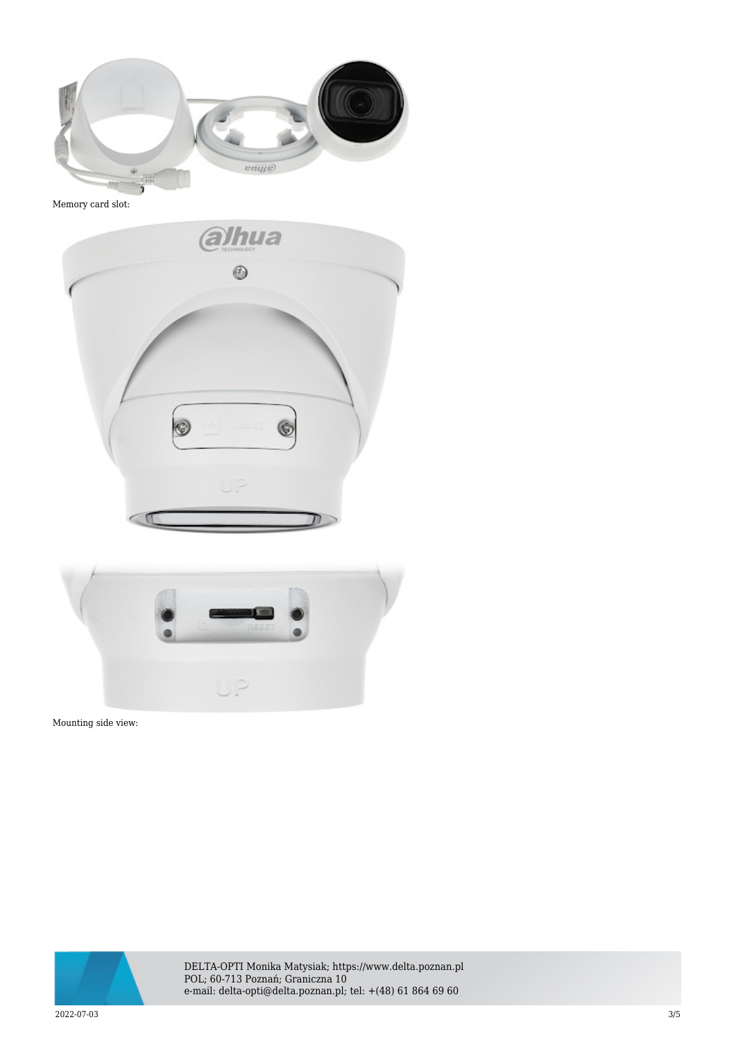

Memory card slot:





Mounting side view:



DELTA-OPTI Monika Matysiak; https://www.delta.poznan.pl POL; 60-713 Poznań; Graniczna 10 e-mail: delta-opti@delta.poznan.pl; tel: +(48) 61 864 69 60

2022-07-03 3/5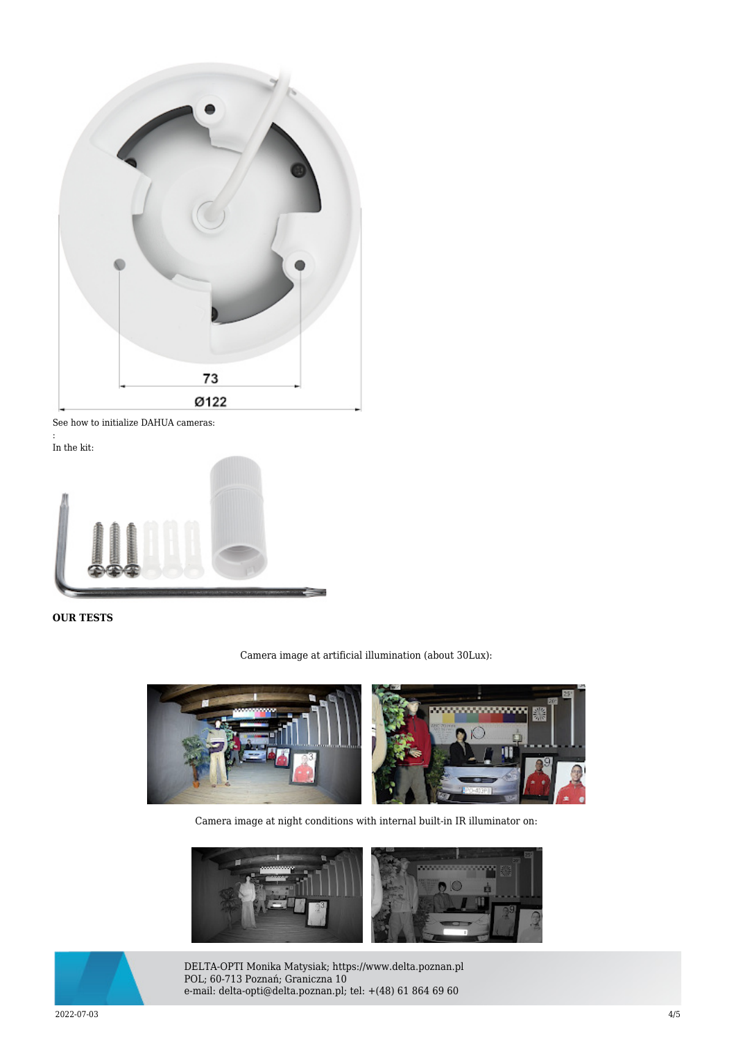

See how to initialize DAHUA cameras:

: In the kit:



## **OUR TESTS**

Camera image at artificial illumination (about 30Lux):



Camera image at night conditions with internal built-in IR illuminator on:





DELTA-OPTI Monika Matysiak; https://www.delta.poznan.pl POL; 60-713 Poznań; Graniczna 10 e-mail: delta-opti@delta.poznan.pl; tel: +(48) 61 864 69 60

2022-07-03 4/5